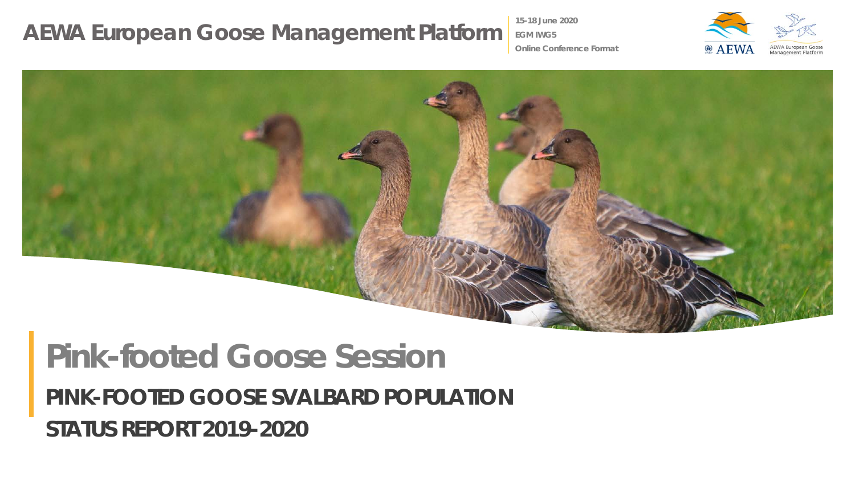**15-18 June 2020**

**EGM IWG5**



**Online Conference Format**



# *PINK-FOOTED GOOSE SVALBARD POPULATION STATUS REPORT 2019-2020* **Pink-footed Goose Session**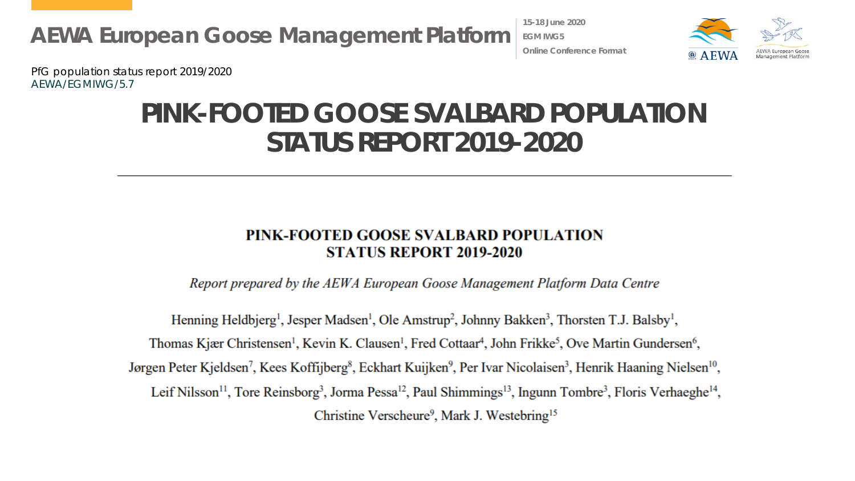**15-18 June 2020 EGM IWG5 Online Conference Format**



PfG population status report 2019/2020 AEWA/EGMIWG/5.7

## **PINK-FOOTED GOOSE SVALBARD POPULATION STATUS REPORT 2019-2020**

#### PINK-FOOTED GOOSE SVALBARD POPULATION **STATUS REPORT 2019-2020**

Report prepared by the AEWA European Goose Management Platform Data Centre

Henning Heldbjerg<sup>1</sup>, Jesper Madsen<sup>1</sup>, Ole Amstrup<sup>2</sup>, Johnny Bakken<sup>3</sup>, Thorsten T.J. Balsby<sup>1</sup>, Thomas Kjær Christensen<sup>1</sup>, Kevin K. Clausen<sup>1</sup>, Fred Cottaar<sup>4</sup>, John Frikke<sup>5</sup>, Ove Martin Gundersen<sup>6</sup>, Jørgen Peter Kjeldsen<sup>7</sup>, Kees Koffijberg<sup>8</sup>, Eckhart Kuijken<sup>9</sup>, Per Ivar Nicolaisen<sup>3</sup>, Henrik Haaning Nielsen<sup>10</sup>, Leif Nilsson<sup>11</sup>, Tore Reinsborg<sup>3</sup>, Jorma Pessa<sup>12</sup>, Paul Shimmings<sup>13</sup>, Ingunn Tombre<sup>3</sup>, Floris Verhaeghe<sup>14</sup>, Christine Verscheure<sup>9</sup>, Mark J. Westebring<sup>15</sup>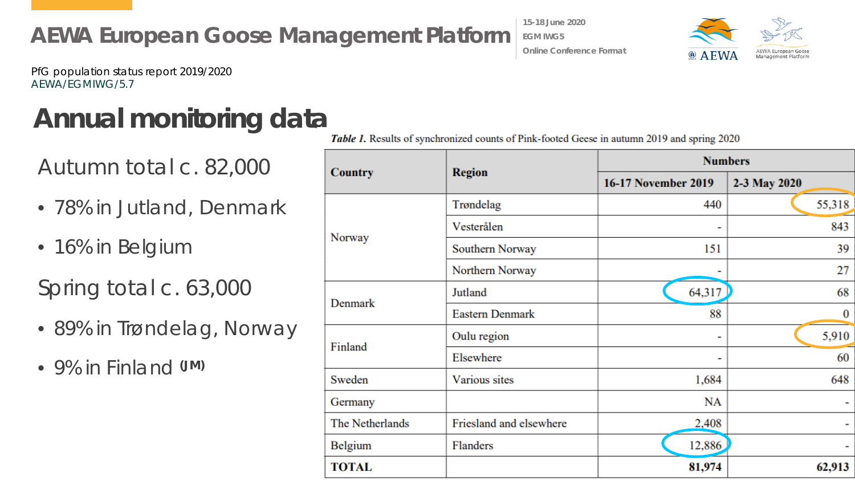$\bullet$  A EWA

PfG population status report 2019/2020 AEWA/EGMIWG/5.7

# Annual monitoring data<br>Table 1. Results of synchronized counts of Pink-footed Geese in autumn 2019 and spring 2020

Autumn total c. 82,000

- 78% in Jutland, Denmark
- 16% in Belgium

Spring total c. 63,000

- 89% in Trøndelag, Norway
- 9% in Finland **(JM)**

**15-18 June 2020 EGM IWG5**

**Online Conference Format**

| <b>Country</b>  | <b>Region</b>           | <b>Numbers</b>             |              |
|-----------------|-------------------------|----------------------------|--------------|
|                 |                         | <b>16-17 November 2019</b> | 2-3 May 2020 |
| Norway          | Trøndelag               | 440                        | 55,318       |
|                 | Vesterålen              |                            | 843          |
|                 | Southern Norway         | 151                        | 39           |
|                 | Northern Norway         |                            | 27           |
| Denmark         | Jutland                 | 64,317                     | 68           |
|                 | <b>Eastern Denmark</b>  | 88                         | 0            |
| Finland         | Oulu region             | -                          | 5,910        |
|                 | Elsewhere               |                            | 60           |
| Sweden          | Various sites           | 1,684                      | 648          |
| Germany         |                         | NA                         |              |
| The Netherlands | Friesland and elsewhere | 2,408                      |              |
| <b>Belgium</b>  | Flanders                | 12,886                     |              |
| <b>TOTAL</b>    |                         | 81,974                     | 62,913       |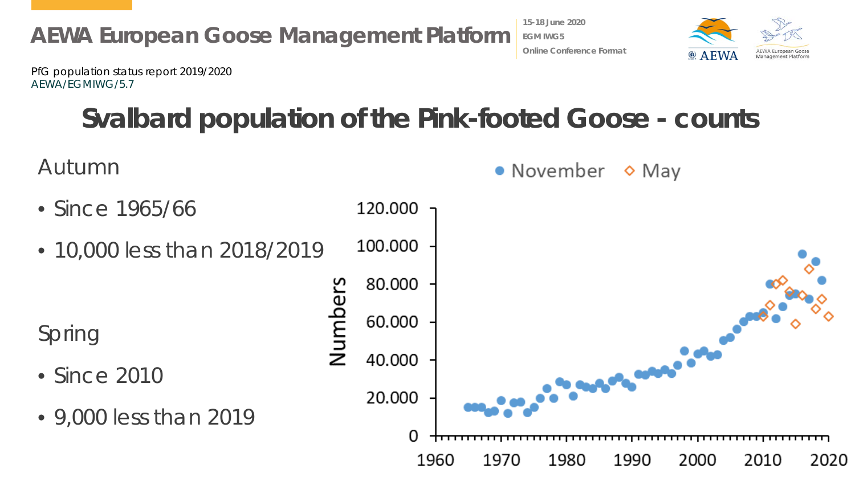

**15-18 June 2020 EGM IWG5 Online Conference Format**

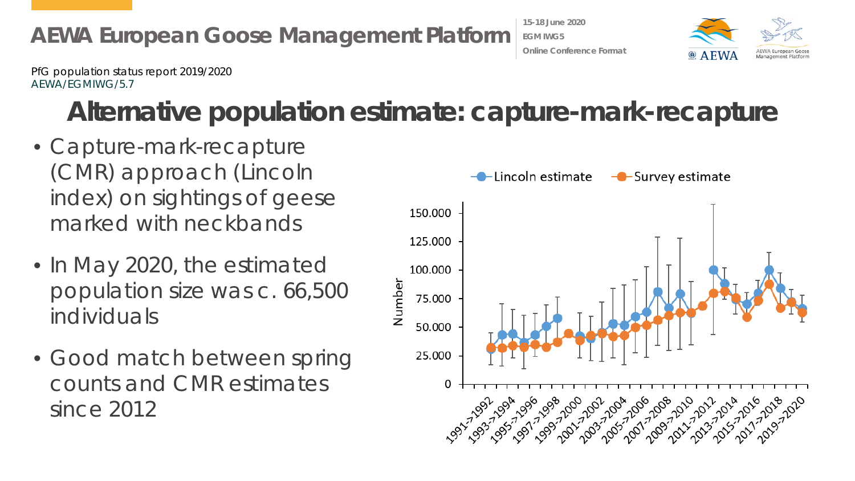

# **Alternative population estimate: capture-mark-recapture**

- Capture-mark-recapture (CMR) approach (Lincoln index) on sightings of geese marked with neckbands
- In May 2020, the estimated population size was c. 66,500 individuals
- Good match between spring counts and CMR estimates since 2012



**15-18 June 2020 EGM IWG5**

**Online Conference Format**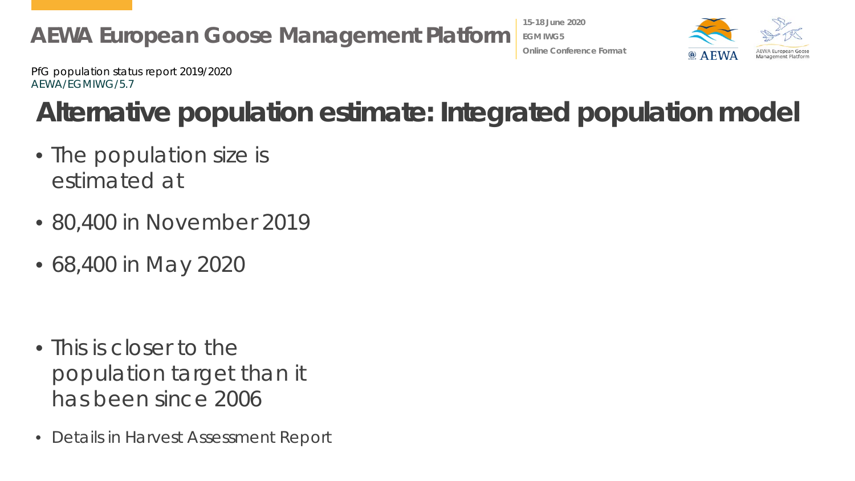

**15-18 June 2020 EGM IWG5 Online Conference Format**



PfG population status report 2019/2020 AEWA/EGMIWG/5.7

# **Alternative population estimate: Integrated population model**

- The population size is estimated at
- 80,400 in November 2019
- 68,400 in May 2020

- This is closer to the population target than it has been since 2006
- Details in Harvest Assessment Report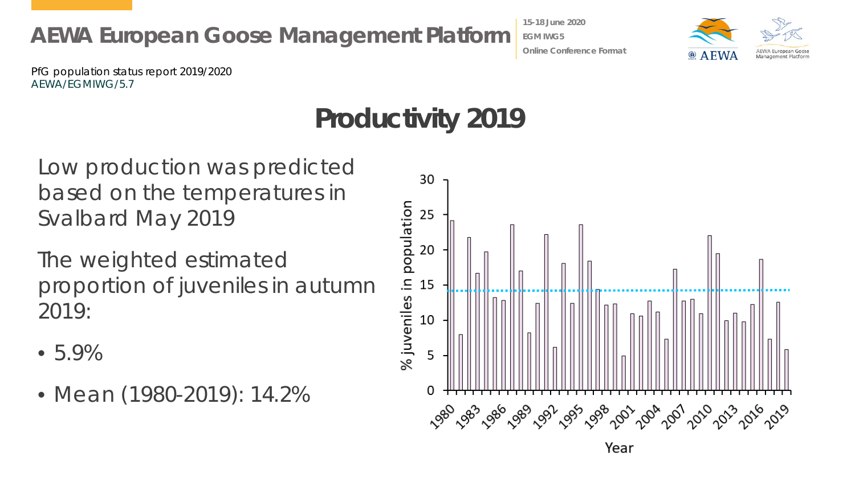**15-18 June 2020 EGM IWG5 Online Conference Format**



PfG population status report 2019/2020 AEWA/EGMIWG/5.7

# **Productivity 2019**

Low production was predicted based on the temperatures in Svalbard May 2019

The weighted estimated proportion of juveniles in autumn 2019:

- 5.9%
- Mean (1980-2019): 14.2%

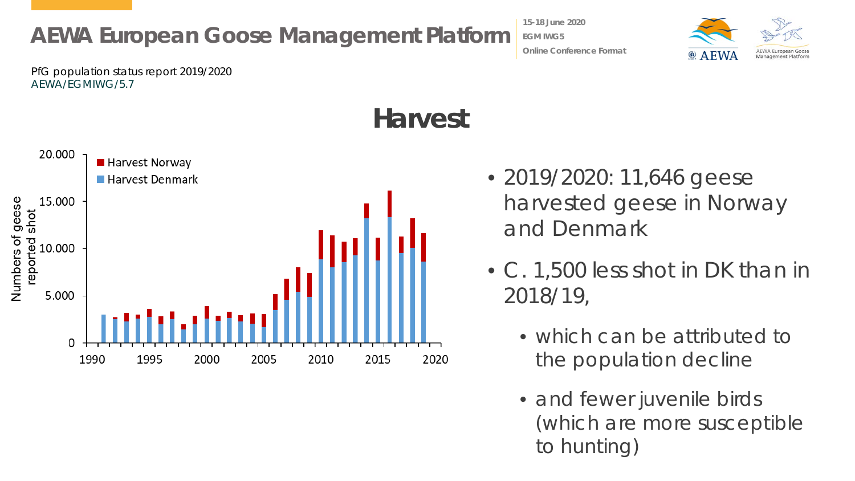**15-18 June 2020 EGM IWG5 Online Conference Format**



PfG population status report 2019/2020 AEWA/EGMIWG/5.7



## **Harvest**

- 2019/2020: 11,646 geese harvested geese in Norway and Denmark
- C. 1,500 less shot in DK than in 2018/19,
	- which can be attributed to the population decline
	- and fewer juvenile birds (which are more susceptible to hunting)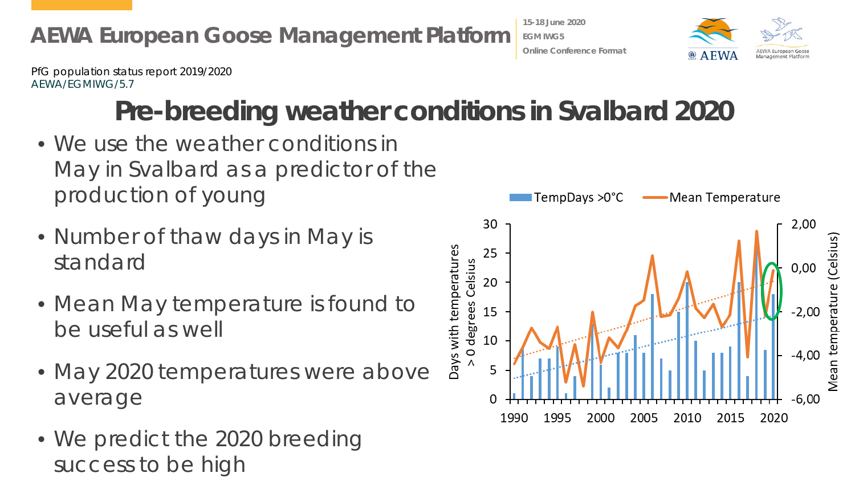

# **Pre-breeding weather conditions in Svalbard 2020**

- We use the weather conditions in May in Svalbard as a predictor of the production of young
- Number of thaw days in May is standard
- Mean May temperature is found to be useful as well
- May 2020 temperatures were above average
- We predict the 2020 breeding success to be high



**15-18 June 2020 EGM IWG5**

**Online Conference Format**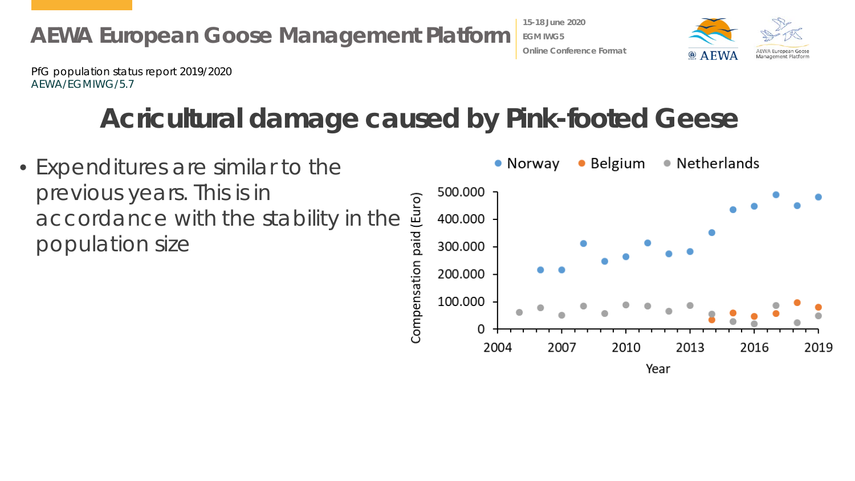

# **Acricultural damage caused by Pink-footed Geese**

**15-18 June 2020 EGM IWG5**

**Online Conference Format**

Year

• Belgium • Netherlands • Expenditures are similar to the • Norway previous years. This is in 500.000 previous years. This is in<br>accordance with the stability in the  $\frac{25}{25}$ <br>population size<br> $\frac{25}{25}$ <br> $\frac{25}{25}$ 400.000 population size300.000 200.000 100.000 0 2016 2004 2007 2010 2013 2019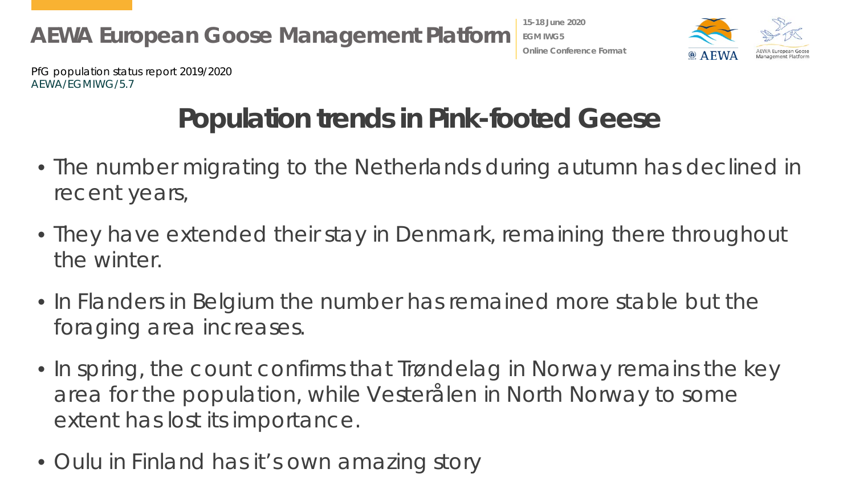



# **Population trends in Pink-footed Geese**

- The number migrating to the Netherlands during autumn has declined in recent years,
- They have extended their stay in Denmark, remaining there throughout the winter.
- In Flanders in Belgium the number has remained more stable but the foraging area increases.
- In spring, the count confirms that Trøndelag in Norway remains the key area for the population, while Vesterålen in North Norway to some extent has lost its importance.
- Oulu in Finland has it's own amazing story